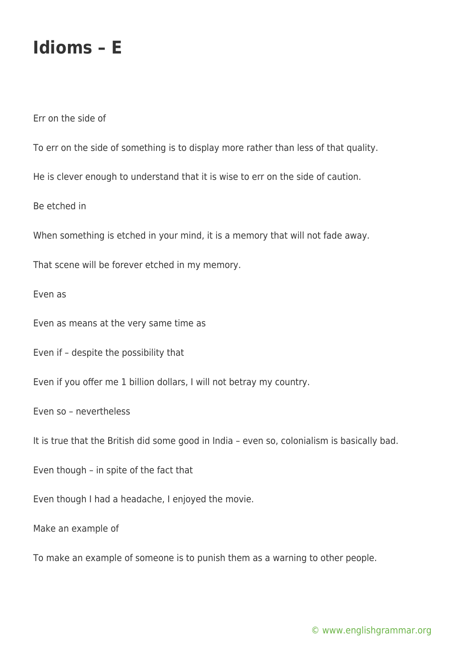## **Idioms – E**

Err on the side of

To err on the side of something is to display more rather than less of that quality.

He is clever enough to understand that it is wise to err on the side of caution.

Be etched in

When something is etched in your mind, it is a memory that will not fade away.

That scene will be forever etched in my memory.

Even as

Even as means at the very same time as

Even if – despite the possibility that

Even if you offer me 1 billion dollars, I will not betray my country.

Even so – nevertheless

It is true that the British did some good in India – even so, colonialism is basically bad.

Even though – in spite of the fact that

Even though I had a headache, I enjoyed the movie.

Make an example of

To make an example of someone is to punish them as a warning to other people.